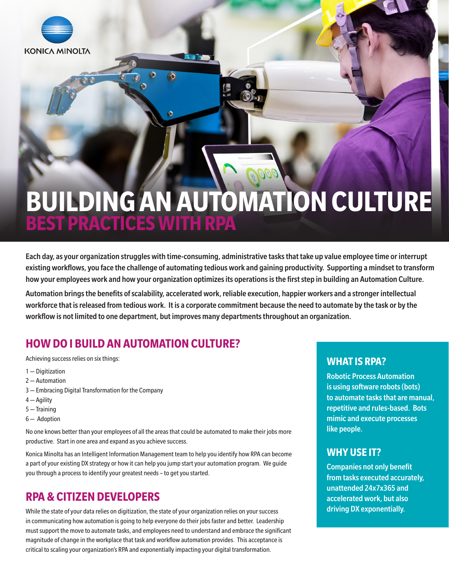

# **BUILDING AN AUTOMATION CULTURE BEST PRACTICES WITH RPA**

Each day, as your organization struggles with time-consuming, administrative tasks that take up value employee time or interrupt existing workflows, you face the challenge of automating tedious work and gaining productivity. Supporting a mindset to transform how your employees work and how your organization optimizes its operations is the first step in building an Automation Culture.

Automation brings the benefits of scalability, accelerated work, reliable execution, happier workers and a stronger intellectual workforce that is released from tedious work. It is a corporate commitment because the need to automate by the task or by the workflow is not limited to one department, but improves many departments throughout an organization.

# **HOW DO I BUILD AN AUTOMATION CULTURE?**

Achieving success relies on six things:

- 1 Digitization
- 2 Automation
- 3 Embracing Digital Transformation for the Company
- 4 Agility
- 5 Training
- 6 Adoption

No one knows better than your employees of all the areas that could be automated to make their jobs more productive. Start in one area and expand as you achieve success.

Konica Minolta has an Intelligent Information Management team to help you identify how RPA can become a part of your existing DX strategy or how it can help you jump start your automation program. We guide you through a process to identify your greatest needs – to get you started.

# **RPA & CITIZEN DEVELOPERS**

While the state of your data relies on digitization, the state of your organization relies on your success in communicating how automation is going to help everyone do their jobs faster and better. Leadership must support the move to automate tasks, and employees need to understand and embrace the significant magnitude of change in the workplace that task and workflow automation provides. This acceptance is critical to scaling your organization's RPA and exponentially impacting your digital transformation.

# **WHAT IS RPA?**

Robotic Process Automation is using software robots (bots) to automate tasks that are manual, repetitive and rules-based. Bots mimic and execute processes like people.

# **WHY USE IT?**

Companies not only benefit from tasks executed accurately, unattended 24x7x365 and accelerated work, but also driving DX exponentially.